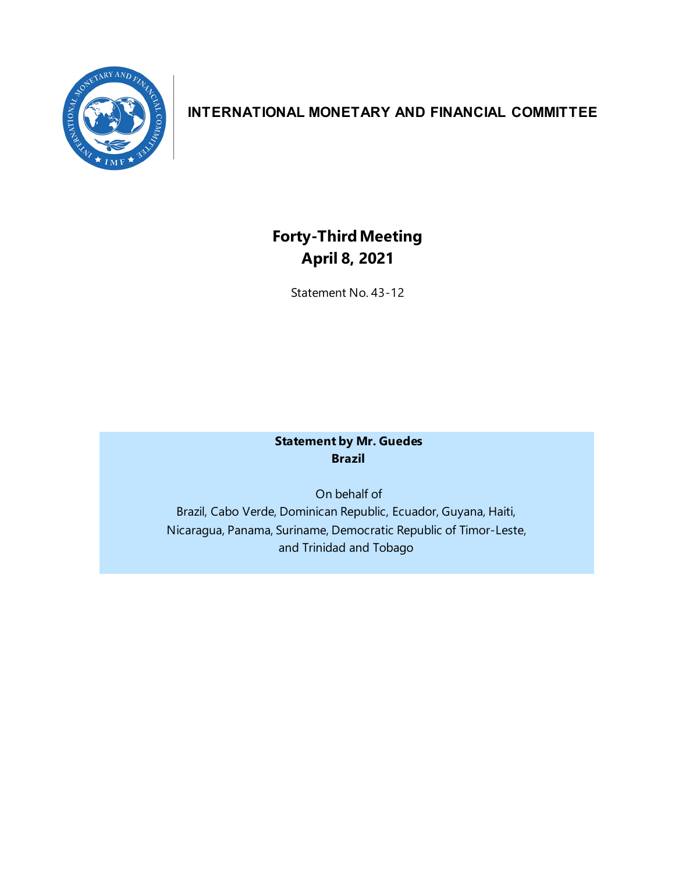

# **INTERNATIONAL MONETARY AND FINANCIAL COMMITTEE**

# **Forty-ThirdMeeting April 8, 2021**

Statement No. 43-12

## **Statement by Mr. Guedes Brazil**

On behalf of Brazil, Cabo Verde, Dominican Republic, Ecuador, Guyana, Haiti, Nicaragua, Panama, Suriname, Democratic Republic of Timor-Leste, and Trinidad and Tobago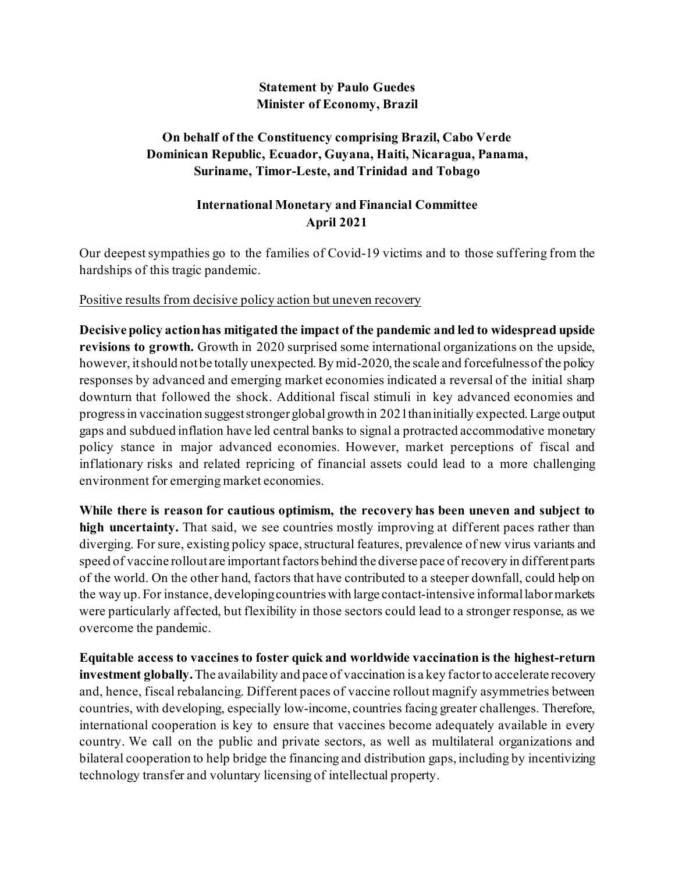#### **Statement by Paulo Guedes Minister of Economy, Brazil**

### **On behalf of the Constituency comprising Brazil, Cabo Verde Dominican Republic, Ecuador, Guyana, Haiti, Nicaragua, Panama, Suriname, Timor-Leste, and Trinidad and Tobago**

# **International Monetary and Financial Committee April 2021**

Our deepestsympathies go to the families of Covid-19 victims and to those suffering from the hardships of this tragic pandemic.

#### Positive results from decisive policy action but uneven recovery

**Decisive policy actionhas mitigated the impact of the pandemic and led to widespread upside revisions to growth.** Growth in 2020 surprised some international organizations on the upside, however, it should not be totally unexpected. By mid-2020, the scale and forcefulness of the policy responses by advanced and emerging market economies indicated a reversal of the initial sharp downturn that followed the shock. Additional fiscal stimuli in key advanced economies and progressin vaccination suggeststronger globalgrowth in 2021thaninitially expected.Large output gaps and subdued inflation have led central banks to signal a protracted accommodative monetary policy stance in major advanced economies. However, market perceptions of fiscal and inflationary risks and related repricing of financial assets could lead to a more challenging environment for emerging market economies.

**While there is reason for cautious optimism, the recovery has been uneven and subject to high uncertainty.** That said, we see countries mostly improving at different paces rather than diverging. For sure, existing policy space,structural features, prevalence of new virus variants and speed of vaccine rollout are important factors behind the diverse pace of recovery in different parts of the world. On the other hand, factors that have contributed to a steeper downfall, could help on the way up. For instance, developingcountries with large contact-intensive informallabormarkets were particularly affected, but flexibility in those sectors could lead to a stronger response, as we overcome the pandemic.

**Equitable access to vaccines to foster quick and worldwide vaccination is the highest-return investment globally.**The availability and pace of vaccination is a key factorto accelerate recovery and, hence, fiscal rebalancing. Different paces of vaccine rollout magnify asymmetries between countries, with developing, especially low-income, countries facing greater challenges. Therefore, international cooperation is key to ensure that vaccines become adequately available in every country. We call on the public and private sectors, as well as multilateral organizations and bilateral cooperation to help bridge the financing and distribution gaps, including by incentivizing technology transfer and voluntary licensing of intellectual property.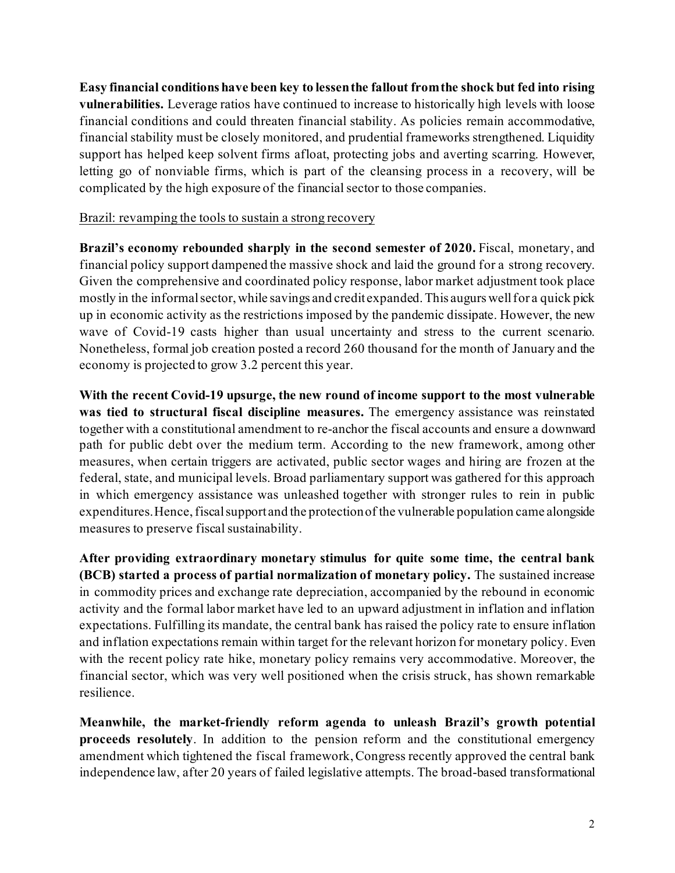**Easy financial conditions have been key to lessenthe fallout fromthe shock but fed into rising vulnerabilities.** Leverage ratios have continued to increase to historically high levels with loose financial conditions and could threaten financial stability. As policies remain accommodative, financial stability must be closely monitored, and prudential frameworks strengthened. Liquidity support has helped keep solvent firms afloat, protecting jobs and averting scarring. However, letting go of nonviable firms, which is part of the cleansing process in a recovery, will be complicated by the high exposure of the financial sector to those companies.

#### Brazil: revamping the tools to sustain a strong recovery

**Brazil's economy rebounded sharply in the second semester of 2020.** Fiscal, monetary, and financial policy support dampened the massive shock and laid the ground for a strong recovery. Given the comprehensive and coordinated policy response, labor market adjustment took place mostly in the informalsector, while savings and credit expanded.This augurswellfor a quick pick up in economic activity as the restrictions imposed by the pandemic dissipate. However, the new wave of Covid-19 casts higher than usual uncertainty and stress to the current scenario. Nonetheless, formal job creation posted a record 260 thousand for the month of January and the economy is projected to grow 3.2 percent this year.

**With the recent Covid-19 upsurge, the new round of income support to the most vulnerable was tied to structural fiscal discipline measures.** The emergency assistance was reinstated together with a constitutional amendment to re-anchor the fiscal accounts and ensure a downward path for public debt over the medium term. According to the new framework, among other measures, when certain triggers are activated, public sector wages and hiring are frozen at the federal, state, and municipal levels. Broad parliamentary support was gathered for this approach in which emergency assistance was unleashed together with stronger rules to rein in public expenditures. Hence, fiscal support and the protection of the vulnerable population came alongside measures to preserve fiscal sustainability.

**After providing extraordinary monetary stimulus for quite some time, the central bank (BCB) started a process of partial normalization of monetary policy.** The sustained increase in commodity prices and exchange rate depreciation, accompanied by the rebound in economic activity and the formal labor market have led to an upward adjustment in inflation and inflation expectations. Fulfilling its mandate, the central bank has raised the policy rate to ensure inflation and inflation expectations remain within target for the relevant horizon for monetary policy. Even with the recent policy rate hike, monetary policy remains very accommodative. Moreover, the financial sector, which was very well positioned when the crisis struck, has shown remarkable resilience.

**Meanwhile, the market-friendly reform agenda to unleash Brazil's growth potential proceeds resolutely**. In addition to the pension reform and the constitutional emergency amendment which tightened the fiscal framework,Congress recently approved the central bank independence law, after 20 years of failed legislative attempts. The broad-based transformational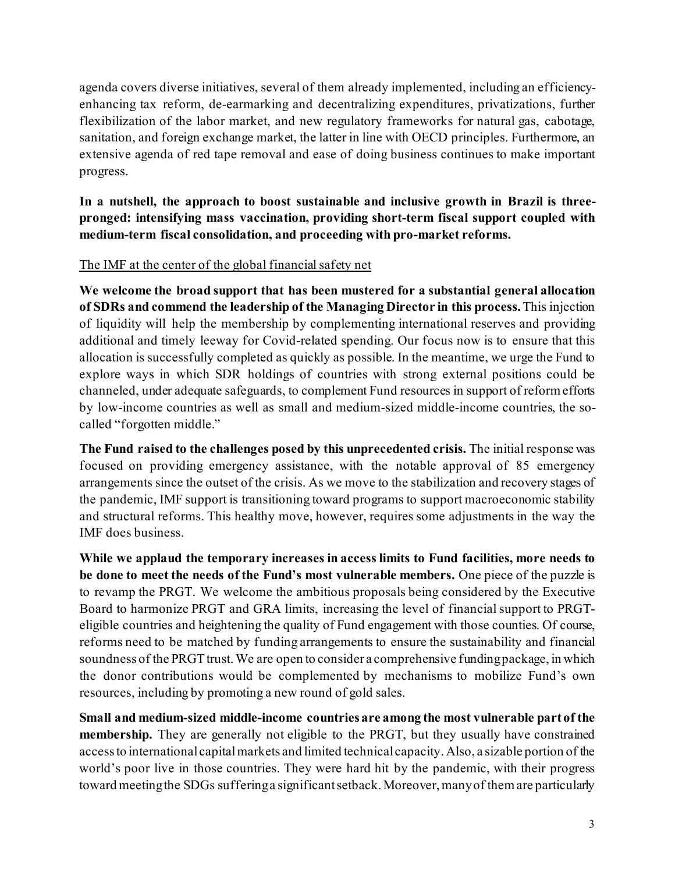agenda covers diverse initiatives, several of them already implemented, including an efficiencyenhancing tax reform, de-earmarking and decentralizing expenditures, privatizations, further flexibilization of the labor market, and new regulatory frameworks for natural gas, cabotage, sanitation, and foreign exchange market, the latter in line with OECD principles. Furthermore, an extensive agenda of red tape removal and ease of doing business continues to make important progress.

**In a nutshell, the approach to boost sustainable and inclusive growth in Brazil is threepronged: intensifying mass vaccination, providing short-term fiscal support coupled with medium-term fiscal consolidation, and proceeding with pro-market reforms.**

#### The IMF at the center of the global financial safety net

**We welcome the broad support that has been mustered for a substantial general allocation of SDRs and commend the leadership of the Managing Director in this process.**This injection of liquidity will help the membership by complementing international reserves and providing additional and timely leeway for Covid-related spending. Our focus now is to ensure that this allocation is successfully completed as quickly as possible. In the meantime, we urge the Fund to explore ways in which SDR holdings of countries with strong external positions could be channeled, under adequate safeguards, to complement Fund resources in support of reform efforts by low-income countries as well as small and medium-sized middle-income countries, the socalled "forgotten middle."

**The Fund raised to the challenges posed by this unprecedented crisis.** The initial response was focused on providing emergency assistance, with the notable approval of 85 emergency arrangements since the outset of the crisis. As we move to the stabilization and recovery stages of the pandemic, IMF support is transitioning toward programs to support macroeconomic stability and structural reforms. This healthy move, however, requires some adjustments in the way the IMF does business.

**While we applaud the temporary increases in access limits to Fund facilities, more needs to be done to meet the needs of the Fund's most vulnerable members.** One piece of the puzzle is to revamp the PRGT. We welcome the ambitious proposals being considered by the Executive Board to harmonize PRGT and GRA limits, increasing the level of financialsupport to PRGTeligible countries and heightening the quality of Fund engagement with those counties. Of course, reforms need to be matched by funding arrangements to ensure the sustainability and financial soundness of the PRGT trust. We are open to consider a comprehensive funding package, in which the donor contributions would be complemented by mechanisms to mobilize Fund's own resources, including by promoting a new round of gold sales.

**Small and medium-sized middle-income countries are among the most vulnerable part of the membership.** They are generally not eligible to the PRGT, but they usually have constrained accessto international capitalmarkets and limited technical capacity. Also, a sizable portion of the world's poor live in those countries. They were hard hit by the pandemic, with their progress toward meetingthe SDGs sufferinga significantsetback. Moreover,manyof themare particularly